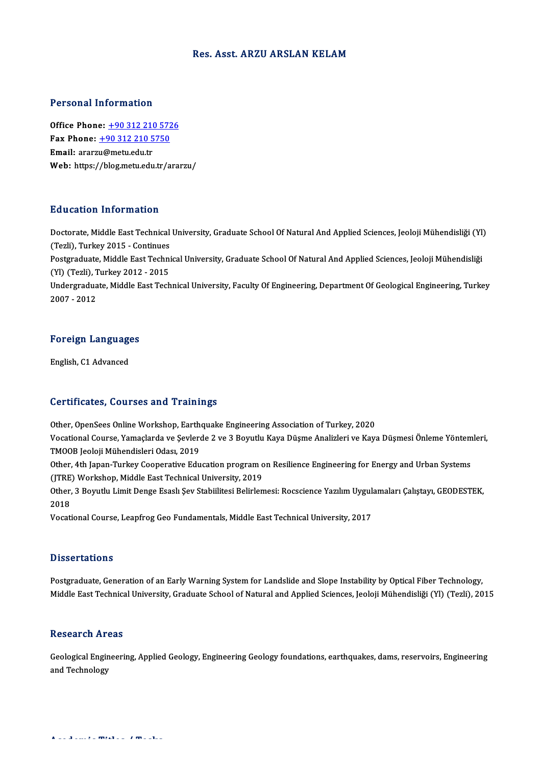#### Res. Asst. ARZU ARSLAN KELAM

#### Personal Information

**Personal Information<br>Office Phone: +90 312 210 5726<br>Fax Phone: +90 312 210 5750** 1 9199111 11101 1111011<br>Office Phone: <u>+90 312 210 572</u><br>Fax Phone: <u>+90 312 210 5750</u> Office Phone: <u>+90 312 210 5</u><br>Fax Phone: <u>+90 312 210 5</u><br>Email: ararz[u@metu.edu.tr](tel:+90 312 210 5750) Fax Phone:  $\pm$ 90 312 210 5750<br>Email: ararzu@metu.edu.tr<br>Web: https://blog.metu.edu.tr/ararzu/

### Education Information

E**ducation Information**<br>Doctorate, Middle East Technical University, Graduate School Of Natural And Applied Sciences, Jeoloji Mühendisliği (Yl)<br>(Tarli), Turkay 2015, Continues Eu a catron Tinor Ination<br>Doctorate, Middle East Technical<br>Cestareduate Middle East Techni Doctorate, Middle East Technical University, Graduate School Of Natural And Applied Sciences, Jeoloji Mühendisliği (Yl<br>(Tezli), Turkey 2015 - Continues<br>Postgraduate, Middle East Technical University, Graduate School Of Nat (Tezli), Turkey 2015 - Continues<br>Postgraduate, Middle East Technical University, Graduate School Of Natural And Applied Sciences, Jeoloji Mühendisliği Undergraduate, Middle East Technical University, Faculty Of Engineering, Department Of Geological Engineering, Turkey<br>2007 - 2012 (Yl) (Tezli), Turkey 2012 - 2015

# <sub>2007</sub> - <sub>2012</sub><br>Foreign Languages <mark>Foreign Languag</mark><br>English, C1 Advanced

# English, C1 Advanced<br>Certificates, Courses and Trainings

Other, OpenSees Online Workshop, Earthquake Engineering Association of Turkey, 2020

Vor enrodees, Yourses und Frunnings<br>Other, OpenSees Online Workshop, Earthquake Engineering Association of Turkey, 2020<br>Vocational Course, Yamaçlarda ve Şevlerde 2 ve 3 Boyutlu Kaya Düşme Analizleri ve Kaya Düşmesi Önleme Other, OpenSees Online Workshop, Earth<br>Vocational Course, Yamaçlarda ve Şevler<br>TMOOB Jeoloji Mühendisleri Odası, 2019<br>Other 4th Japan Turkey Concretive Edu Vocational Course, Yamaçlarda ve Şevlerde 2 ve 3 Boyutlu Kaya Düşme Analizleri ve Kaya Düşmesi Önleme Yöntem<br>TMOOB Jeoloji Mühendisleri Odası, 2019<br>Other, 4th Japan-Turkey Cooperative Education program on Resilience Engine

TMOOB Jeoloji Mühendisleri Odası, 2019<br>Other, 4th Japan-Turkey Cooperative Education program on Resilience Engineering for Energy and Urban Systems<br>(JTRE) Workshop, Middle East Technical University, 2019 Other, 4th Japan-Turkey Cooperative Education program on Resilience Engineering for Energy and Urban Systems<br>(JTRE) Workshop, Middle East Technical University, 2019<br>Other, 3 Boyutlu Limit Denge Esaslı Şev Stabiilitesi Beli

(JTRE)<br>Other,<br>2018 Other, 3 Boyutlu Limit Denge Esaslı Şev Stabiilitesi Belirlemesi: Rocscience Yazılım Uygul<br>2018<br>Vocational Course, Leapfrog Geo Fundamentals, Middle East Technical University, 2017

Vocational Course, Leapfrog Geo Fundamentals, Middle East Technical University, 2017<br>Dissertations

**Dissertations**<br>Postgraduate, Generation of an Early Warning System for Landslide and Slope Instability by Optical Fiber Technology,<br>Middle Fest Technical University Craduate School of Natural and Annlied Sciences, Jeoleji Dissor tatronis<br>Postgraduate, Generation of an Early Warning System for Landslide and Slope Instability by Optical Fiber Technology,<br>Middle East Technical University, Graduate School of Natural and Applied Sciences, Jeoloj Middle East Technical University, Graduate School of Natural and Applied Sciences, Jeoloji Mühendisliği (Yl) (Tezli), 2015<br>Research Areas

Geological Engineering, Applied Geology, Engineering Geology foundations, earthquakes, dams, reservoirs, Engineering and Technology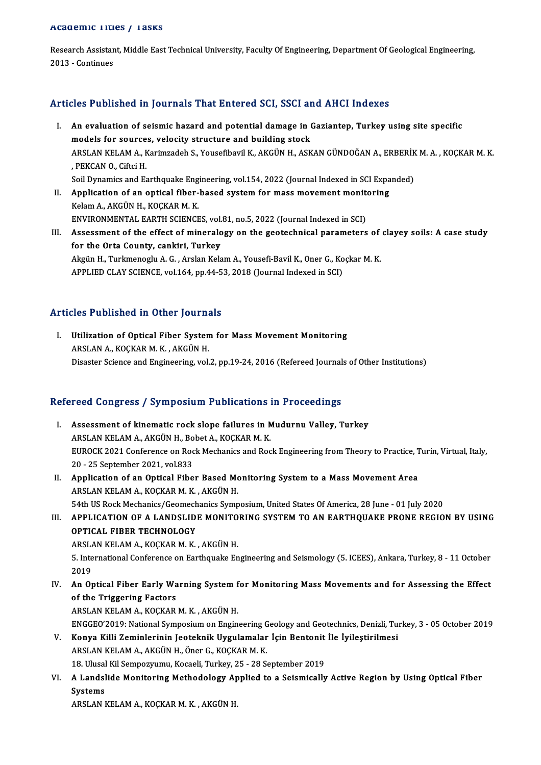#### Academic Titles / Tasks

A**cademic Titles / Tasks**<br>Research Assistant, Middle East Technical University, Faculty Of Engineering, Department Of Geological Engineering,<br>2013 - Continues Example<br>2013 - Continues<br>2013 - Continues

# Articles Published in Journals That Entered SCI, SSCI and AHCI Indexes

- rticles Published in Journals That Entered SCI, SSCI and AHCI Indexes<br>I. An evaluation of seismic hazard and potential damage in Gaziantep, Turkey using site specific<br>models for seurese velocity structure and building stee Models for sources, velocity structure and potential damage in (models for sources, velocity structure and building stock ARSLAN KELAM A., Karimzadeh S., Yousefibavil K., AKGÜN H., ASKAN GÜNDOĞAN A., ERBERİK M. A. , KOÇKAR M. K.<br>, PEKCAN O., Ciftci H. models for sources, velocity structure and building stock Soil Dynamics and Earthquake Engineering, vol.154, 2022 (Journal Indexed in SCI Expanded) I . PEKCAN O., Ciftci H.<br>Soil Dynamics and Earthquake Engineering, vol.154, 2022 (Journal Indexed in SCI Expa<br>II. Application of an optical fiber-based system for mass movement monitoring<br>Kelam A. AKCIN H. KOCKAR M. K.
- Soil Dynamics and Earthquake Eng.<br>Application of an optical fiber-<br>Kelam A., AKGÜN H., KOÇKAR M. K.<br>ENWPONMENTAL EAPTH SCIENCE Application of an optical fiber-based system for mass movement monite<br>Kelam A., AKGÜN H., KOÇKAR M. K.<br>ENVIRONMENTAL EARTH SCIENCES, vol.81, no.5, 2022 (Journal Indexed in SCI)<br>Assessment of the effect of mineralesy on the I I. Kelam A., AKGÜN H., KOÇKAR M. K.<br>III. Assessment of the effect of mineralogy on the geotechnical parameters of clayey soils: A case study<br>for the Orte County, conkini, Turkey
- ENVIRONMENTAL EARTH SCIENCES, vol.<br>Assessment of the effect of mineral<br>for the Orta County, cankiri, Turkey Assessment of the effect of mineralogy on the geotechnical parameters of<br>for the Orta County, cankiri, Turkey<br>Akgün H., Turkmenoglu A. G. , Arslan Kelam A., Yousefi-Bavil K., Oner G., Koçkar M. K.<br>APPLIED CLAY SCIENCE vol. for the Orta County, cankiri, Turkey<br>Akgün H., Turkmenoglu A. G. , Arslan Kelam A., Yousefi-Bavil K., Oner G., Koçkar M. K.<br>APPLIED CLAY SCIENCE, vol.164, pp.44-53, 2018 (Journal Indexed in SCI)

## Articles Published in Other Journals

Tricles Published in Other Journals<br>I. Utilization of Optical Fiber System for Mass Movement Monitoring ARSLAN<br>
Utilization of Optical Fiber System<br>
ARSLAN A., KOÇKAR M. K., AKGÜN H.<br>
Disaster Science and Engineering vol. ARSLAN A., KOÇKAR M. K., AKGÜN H.<br>Disaster Science and Engineering, vol.2, pp.19-24, 2016 (Refereed Journals of Other Institutions)

## Refereed Congress / Symposium Publications in Proceedings

- efereed Congress / Symposium Publications in Proceedings<br>I. Assessment of kinematic rock slope failures in Mudurnu Valley, Turkey<br>ABSLAN KELAM A AKCÜN H. Bobet A, KOCKAB M K. Assessment of kinematic rock slope failures in M<br>ARSLAN KELAM A., AKGÜN H., Bobet A., KOÇKAR M. K.<br>EUBOCK 2021 Conference on Book Mochanics and Boo Assessment of kinematic rock slope failures in Mudurnu Valley, Turkey<br>ARSLAN KELAM A., AKGÜN H., Bobet A., KOÇKAR M. K.<br>EUROCK 2021 Conference on Rock Mechanics and Rock Engineering from Theory to Practice, Turin, Virtual, ARSLAN KELAM A., AKGÜN H., Bo<br>EUROCK 2021 Conference on Roc<br>20 - 25 September 2021, vol.833<br>Annligation of an Ontical Eiba EUROCK 2021 Conference on Rock Mechanics and Rock Engineering from Theory to Practice, T<br>20 - 25 September 2021, vol.833<br>II. Application of an Optical Fiber Based Monitoring System to a Mass Movement Area<br>ARSLAN KELAM A. K
- 20 25 September 2021, vol.833<br>Application of an Optical Fiber Based Mo<br>ARSLAN KELAM A., KOÇKAR M. K. , AKGÜN H.<br>54th US Boek Meshaniss (Coomeshaniss Sumn Application of an Optical Fiber Based Monitoring System to a Mass Movement Area<br>ARSLAN KELAM A., KOÇKAR M. K. , AKGÜN H.<br>54th US Rock Mechanics/Geomechanics Symposium, United States Of America, 28 June - 01 July 2020<br>APPLI ARSLAN KELAM A., KOÇKAR M. K. , AKGÜN H.<br>54th US Rock Mechanics/Geomechanics Symposium, United States Of America, 28 June - 01 July 2020<br>III. APPLICATION OF A LANDSLIDE MONITORING SYSTEM TO AN EARTHQUAKE PRONE REGION B

## 54th US Rock Mechanics/Geomech<br>APPLICATION OF A LANDSLID<br>OPTICAL FIBER TECHNOLOGY<br>APSLAN KELAM A KOCKAR M K APPLICATION OF A LANDSLIDE MONITO<br>OPTICAL FIBER TECHNOLOGY<br>ARSLAN KELAM A., KOÇKAR M. K. , AKGÜN H.<br>E. International Corference on Forthoughs En

OPTICAL FIBER TECHNOLOGY<br>ARSLAN KELAM A., KOÇKAR M. K. , AKGÜN H.<br>5. International Conference on Earthquake Engineering and Seismology (5. ICEES), Ankara, Turkey, 8 - 11 October<br>2019 ARSL/<br>5. Inte<br>2019 IV. International Conference on Earthquake Engineering and Seismology (5. ICEES), Ankara, Turkey, 8 - 11 October<br>IV. An Optical Fiber Early Warning System for Monitoring Mass Movements and for Assessing the Effect<br>of the T

## 2019<br>An Optical Fiber Early Wa<br>of the Triggering Factors<br>APSLAN KELAM A, KOCKAP of the Triggering Factors<br>ARSLAN KELAM A., KOÇKAR M. K., AKGÜN H.

ENGGEO'2019:NationalSymposiumonEngineeringGeology andGeotechnics,Denizli,Turkey,3 -05October 2019

- ARSLAN KELAM A., KOÇKAR M. K., AKGÜN H.<br>ENGGEO'2019: National Symposium on Engineering Geology and Geotechnics, Denizli, Tu:<br>V. Konya Killi Zeminlerinin Jeoteknik Uygulamalar İçin Bentonit İle İyileştirilmesi<br>ARSLAN KELAM ARSLAN KELAM A., AKGÜN H., Öner G., KOÇKAR M. K. Konya Killi Zeminlerinin Jeoteknik Uygulamalar İçin Bentonit<br>ARSLAN KELAM A., AKGÜN H., Öner G., KOÇKAR M. K.<br>18. Ulusal Kil Sempozyumu, Kocaeli, Turkey, 25 - 28 September 2019<br>A. Landalida Manitaring Mathadalagu Annlied t 18. Ulusal Kil Sempozyumu, Kocaeli, Turkey, 25 - 28 September 2019
- VI. A Landslide Monitoring Methodology Applied to a Seismically Active Region by Using Optical Fiber<br>Systems

ARSLANKELAMA.,KOÇKARM.K. ,AKGÜNH.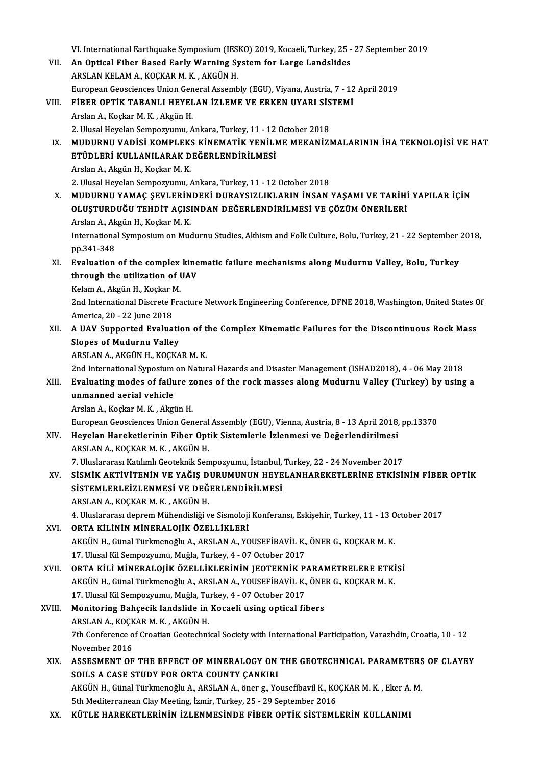|        | VI. International Earthquake Symposium (IESKO) 2019, Kocaeli, Turkey, 25 - 27 September 2019                                                       |
|--------|----------------------------------------------------------------------------------------------------------------------------------------------------|
| VII.   | An Optical Fiber Based Early Warning System for Large Landslides                                                                                   |
|        | ARSLAN KELAM A., KOÇKAR M. K., AKGÜN H.                                                                                                            |
|        | European Geosciences Union General Assembly (EGU), Viyana, Austria, 7 - 12 April 2019                                                              |
| VIII.  | FIBER OPTIK TABANLI HEYELAN İZLEME VE ERKEN UYARI SİSTEMİ                                                                                          |
|        | Arslan A., Koçkar M. K., Akgün H.                                                                                                                  |
|        | 2. Ulusal Heyelan Sempozyumu, Ankara, Turkey, 11 - 12 October 2018                                                                                 |
| IX.    | MUDURNU VADISI KOMPLEKS KINEMATIK YENILME MEKANIZMALARININ IHA TEKNOLOJISI VE HAT                                                                  |
|        | ETÜDLERİ KULLANILARAK DEĞERLENDİRİLMESİ                                                                                                            |
|        | Arslan A., Akgün H., Koçkar M. K.                                                                                                                  |
|        | 2. Ulusal Heyelan Sempozyumu, Ankara, Turkey, 11 - 12 October 2018                                                                                 |
| X.     | MUDURNU YAMAÇ ŞEVLERİNDEKİ DURAYSIZLIKLARIN İNSAN YAŞAMI VE TARİHİ YAPILAR İÇİN                                                                    |
|        | OLUŞTURDUĞU TEHDİT AÇISINDAN DEĞERLENDİRİLMESİ VE ÇÖZÜM ÖNERİLERİ                                                                                  |
|        | Arslan A., Akgün H., Koçkar M. K.                                                                                                                  |
|        | International Symposium on Mudurnu Studies, Akhism and Folk Culture, Bolu, Turkey, 21 - 22 September 2018,                                         |
|        | pp 341-348                                                                                                                                         |
| XI.    | Evaluation of the complex kinematic failure mechanisms along Mudurnu Valley, Bolu, Turkey                                                          |
|        | through the utilization of UAV                                                                                                                     |
|        | Kelam A., Akgün H., Koçkar M.<br>2nd International Discrete Fracture Network Engineering Conference, DFNE 2018, Washington, United States Of       |
|        | America, 20 - 22 June 2018                                                                                                                         |
| XII.   | A UAV Supported Evaluation of the Complex Kinematic Failures for the Discontinuous Rock Mass                                                       |
|        | <b>Slopes of Mudurnu Valley</b>                                                                                                                    |
|        | ARSLAN A., AKGÜN H., KOÇKAR M. K.                                                                                                                  |
|        | 2nd International Syposium on Natural Hazards and Disaster Management (ISHAD2018), 4 - 06 May 2018                                                 |
| XIII.  | Evaluating modes of failure zones of the rock masses along Mudurnu Valley (Turkey) by using a                                                      |
|        | unmanned aerial vehicle                                                                                                                            |
|        | Arslan A., Koçkar M. K., Akgün H.                                                                                                                  |
|        | European Geosciences Union General Assembly (EGU), Vienna, Austria, 8 - 13 April 2018, pp 13370                                                    |
| XIV.   | Heyelan Hareketlerinin Fiber Optik Sistemlerle İzlenmesi ve Değerlendirilmesi                                                                      |
|        | ARSLAN A, KOÇKAR M. K., AKGÜN H.                                                                                                                   |
|        | 7. Uluslararası Katılımlı Geoteknik Sempozyumu, İstanbul, Turkey, 22 - 24 November 2017                                                            |
| XV.    | SİSMİK AKTİVİTENİN VE YAĞIŞ DURUMUNUN HEYELANHAREKETLERİNE ETKİSİNİN FİBER OPTİK                                                                   |
|        | SISTEMLERLEIZLENMESI VE DEĞERLENDIRILMESI                                                                                                          |
|        | ARSLAN A., KOÇKAR M. K., AKGÜN H.                                                                                                                  |
|        | 4. Uluslararası deprem Mühendisliği ve Sismoloji Konferansı, Eskişehir, Turkey, 11 - 13 October 2017                                               |
| XVI.   | ORTA KİLİNİN MİNERALOJİK ÖZELLİKLERİ                                                                                                               |
|        | AKGÜN H., Günal Türkmenoğlu A., ARSLAN A., YOUSEFİBAVİL K., ÖNER G., KOÇKAR M. K.<br>17. Ulusal Kil Sempozyumu, Muğla, Turkey, 4 - 07 October 2017 |
| XVII.  | ORTA KİLİ MİNERALOJİK ÖZELLİKLERİNİN JEOTEKNİK PARAMETRELERE ETKİSİ                                                                                |
|        | AKGÜN H., Günal Türkmenoğlu A., ARSLAN A., YOUSEFİBAVİL K., ÖNER G., KOÇKAR M. K.                                                                  |
|        | 17. Ulusal Kil Sempozyumu, Muğla, Turkey, 4 - 07 October 2017                                                                                      |
| XVIII. | Monitoring Bahçecik landslide in Kocaeli using optical fibers                                                                                      |
|        | ARSLAN A, KOÇKAR M. K., AKGÜN H.                                                                                                                   |
|        | 7th Conference of Croatian Geotechnical Society with International Participation, Varazhdin, Croatia, 10 - 12                                      |
|        | November 2016                                                                                                                                      |
| XIX.   | ASSESMENT OF THE EFFECT OF MINERALOGY ON THE GEOTECHNICAL PARAMETERS OF CLAYEY                                                                     |
|        | SOILS A CASE STUDY FOR ORTA COUNTY ÇANKIRI                                                                                                         |
|        | AKGÜN H., Günal Türkmenoğlu A., ARSLAN A., öner g., Yousefibavil K., KOÇKAR M. K., Eker A. M.                                                      |
|        | 5th Mediterranean Clay Meeting, İzmir, Turkey, 25 - 29 September 2016                                                                              |
| XX.    | KÜTLE HAREKETLERİNİN İZLENMESİNDE FİBER OPTİK SİSTEMLERİN KULLANIMI                                                                                |
|        |                                                                                                                                                    |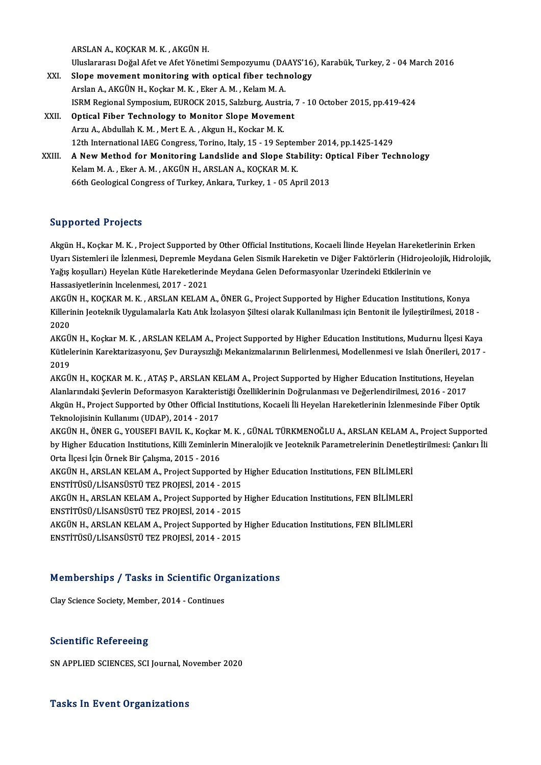ARSLANA.,KOÇKARM.K. ,AKGÜNH.

UluslararasıDoğalAfetveAfetYönetimiSempozyumu (DAAYS'16),Karabük,Turkey,2 -04March 2016 XXI. Slope movement monitoring with optical fiber technology ArslanA.,AKGÜNH.,KoçkarM.K. ,EkerA.M. ,KelamM.A. Slope movement monitoring with optical fiber technology<br>Arslan A., AKGÜN H., Koçkar M. K. , Eker A. M. , Kelam M. A.<br>ISRM Regional Symposium, EUROCK 2015, Salzburg, Austria, 7 - 10 October 2015, pp.419-424<br>Ontical Eiber Te

- 
- XXII. Optical Fiber Technology to Monitor Slope Movement<br>Arzu A., Abdullah K. M., Mert E. A., Akgun H., Kockar M. K. ISRM Regional Symposium, EUROCK 2015, Salzburg, Austr<br>Optical Fiber Technology to Monitor Slope Moveme<br>Arzu A., Abdullah K. M. , Mert E. A. , Akgun H., Kockar M. K.<br>12th International IAEC Congress Terine, Italy, 15 , 19 S 12th International IAEG Congress, Torino, Italy, 15 - 19 September 2014, pp.1425-1429 Arzu A., Abdullah K. M., Mert E. A., Akgun H., Kockar M. K.<br>12th International IAEG Congress, Torino, Italy, 15 - 19 September 2014, pp.1425-1429<br>XXIII. A New Method for Monitoring Landslide and Slope Stability: Optical Fi
- Kelam M. A. , Eker A. M. , AKGÜN H., ARSLAN A., KOÇKAR M. K.<br>66th Geological Congress of Turkey, Ankara, Turkey, 1 05 April 2013 A New Method for Monitoring Landslide and Slope Stability: 0<sub>]</sub><br>Kelam M. A. , Eker A. M. , AKGÜN H., ARSLAN A., KOÇKAR M. K.<br>66th Geological Congress of Turkey, Ankara, Turkey, 1 - 05 April 2013

## Supported Projects

Akgün H., Koçkar M. K., Project Supported by Other Official Institutions, Kocaeli İlinde Heyelan Hareketlerinin Erken Uyarı Sistemleri ile İzlenmesi, Depremle Meydana Gelen Sismik Hareketin ve Diğer Faktörlerin (Hidrojeolojik, Hidrolojik, Akgün H., Koçkar M. K. , Project Supported by Other Official Institutions, Kocaeli İlinde Heyelan Hareketle<br>Uyarı Sistemleri ile İzlenmesi, Depremle Meydana Gelen Sismik Hareketin ve Diğer Faktörlerin (Hidrojeo<br>Yağış koşul Uyarı Sistemleri ile İzlenmesi, Depremle Mey<br>Yağış koşulları) Heyelan Kütle Hareketlerine<br>Hassasiyetlerinin İncelenmesi, 2017 - 2021<br>AKÇÜN H. KOCKAR M. K., ARŞLAN KELAM Yağış koşulları) Heyelan Kütle Hareketlerinde Meydana Gelen Deformasyonlar Uzerindeki Etkilerinin ve<br>Hassasiyetlerinin Incelenmesi, 2017 - 2021<br>AKGÜN H., KOÇKAR M. K. , ARSLAN KELAM A., ÖNER G., Project Supported by Higher

Hassasiyetlerinin Incelenmesi, 2017 - 2021<br>AKGÜN H., KOÇKAR M. K. , ARSLAN KELAM A., ÖNER G., Project Supported by Higher Education Institutions, Konya<br>Killerinin Jeoteknik Uygulamalarla Katı Atık İzolasyon Şiltesi olarak AKGÜ<br>Killeri<br>2020<br>AKCÜ Killerinin Jeoteknik Uygulamalarla Katı Atık İzolasyon Şiltesi olarak Kullanılması için Bentonit ile İyileştirilmesi, 2018 -<br>2020<br>AKGÜN H., Koçkar M. K. , ARSLAN KELAM A., Project Supported by Higher Education Institutions

Kütlelerinin Karektarizasyonu, Şev Duraysızlığı Mekanizmalarının Belirlenmesi, Modellenmesi ve Islah Önerileri, 2017 -<br>2019 AKGÜ<br>Kütlel<br>2019<br>AKCÜ Kütlelerinin Karektarizasyonu, Şev Duraysızlığı Mekanizmalarının Belirlenmesi, Modellenmesi ve Islah Önerileri, 201<br>2019<br>AKGÜN H., KOÇKAR M. K. , ATAŞ P., ARSLAN KELAM A., Project Supported by Higher Education Institutions

2019<br>AKGÜN H., KOÇKAR M. K. , ATAŞ P., ARSLAN KELAM A., Project Supported by Higher Education Institutions, Heyela<br>Alanlarındaki Şevlerin Deformasyon Karakteristiği Özelliklerinin Doğrulanması ve Değerlendirilmesi, 2016 - AKGÜN H., KOÇKAR M. K. , ATAŞ P., ARSLAN KELAM A., Project Supported by Higher Education Institutions, Heyelan<br>Alanlarındaki Şevlerin Deformasyon Karakteristiği Özelliklerinin Doğrulanması ve Değerlendirilmesi, 2016 - 2017 Alanlarındaki Şevlerin Deformasyon Karakteristiği Özelliklerinin Doğrulanması ve Değerlendirilmesi, 2016 - 2017<br>Akgün H., Project Supported by Other Official Institutions, Kocaeli İli Heyelan Hareketlerinin İzlenmesinde Fi Akgün H., Project Supported by Other Official Institutions, Kocaeli İli Heyelan Hareketlerinin İzlenmesinde Fiber Optik<br>Teknolojisinin Kullanımı (UDAP), 2014 - 2017<br>AKGÜN H., ÖNER G., YOUSEFI BAVIL K., Koçkar M. K. , GÜNAL

Teknolojisinin Kullanımı (UDAP), 2014 - 2017<br>AKGÜN H., ÖNER G., YOUSEFI BAVIL K., Koçkar M. K. , GÜNAL TÜRKMENOĞLU A., ARSLAN KELAM A., Project Supported<br>Dy Higher Education Institutions, Killi Zeminlerin Mineralojik ve Je AKGÜN H., ÖNER G., YOUSEFI BAVIL K., Koçkar<br>by Higher Education Institutions, Killi Zeminler<br>Orta İlçesi İçin Örnek Bir Çalışma, 2015 - 2016<br>AKGÜN H. ABSLAN KELAM A. Project Support by Higher Education Institutions, Killi Zeminlerin Mineralojik ve Jeoteknik Parametrelerinin Denetleştirilmesi: Çankırı İli Orta İlçesi İçin Örnek Bir Çalışma, 2015 - 2016<br>AKGÜN H., ARSLAN KELAM A., Project Supported by Hi

AKGÜN H., ARSLAN KELAM A., Project Supported by Higher Education Institutions, FEN BİLİMLERİ AKGÜN H., ARSLAN KELAM A., Project Supported by Higher Education Institutions, FEN BİLİMLERİ<br>ENSTİTÜSÜ/LİSANSÜSTÜ TEZ PROJESİ, 2014 - 2015<br>AKGÜN H., ARSLAN KELAM A., Project Supported by Higher Education Institutions, FEN

ENSTİTÜSÜ/LİSANSÜSTÜ TEZ PROJESİ, 2014 - 2015<br>AKGÜN H., ARSLAN KELAM A., Project Supported by<br>ENSTİTÜSÜ/LİSANSÜSTÜ TEZ PROJESİ, 2014 - 2015<br>AKÇÜN H. ABSLAN KELAM A. Project Supported by AKGÜN H., ARSLAN KELAM A., Project Supported by Higher Education Institutions, FEN BİLİMLERİ<br>ENSTİTÜSÜ/LİSANSÜSTÜ TEZ PROJESİ, 2014 - 2015<br>AKGÜN H., ARSLAN KELAM A., Project Supported by Higher Education Institutions, FEN

ENSTİTÜSÜ/LİSANSÜSTÜ TEZ PROJESİ, 2014 - 2015<br>AKGÜN H., ARSLAN KELAM A., Project Supported by Higher Education Institutions, FEN BİLİMLERİ<br>ENSTİTÜSÜ/LİSANSÜSTÜ TEZ PROJESİ, 2014 - 2015

# <sub>ENSTITUSU/LISANSUSTU TEZ PROJESI, 2014 - 2015<br>Memberships / Tasks in Scientific Organizations</sub> Memberships / Tasks in Scientific Or<sub>i</sub><br>Clay Science Society, Member, 2014 - Continues

Clay Science Society, Member, 2014 - Continues<br>Scientific Refereeing

SN APPLIED SCIENCES, SCI Journal, November 2020

### **Tasks In Event Organizations**